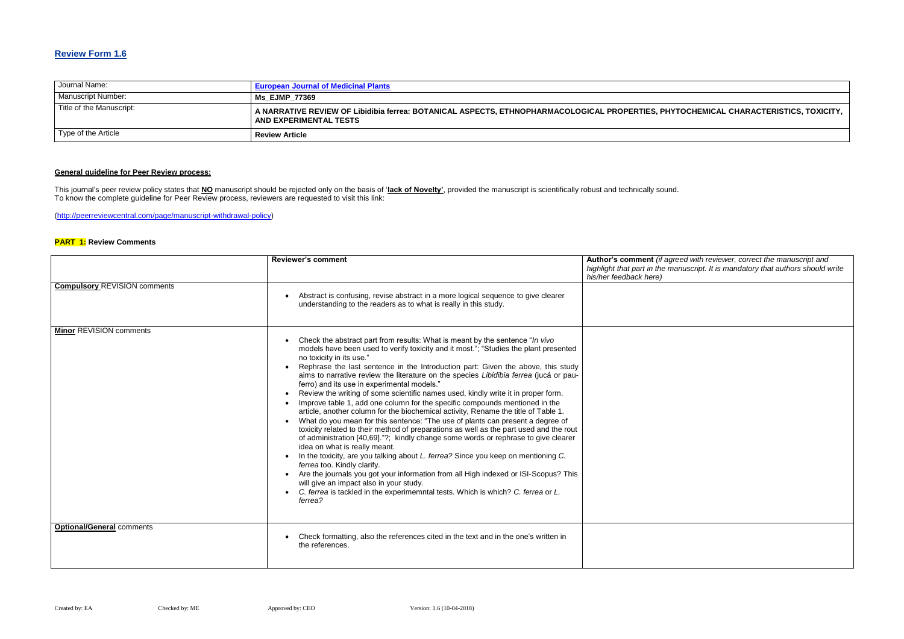### **Review Form 1.6**

| Journal Name:            | <b>European Journal of Medicinal Plants</b>                                                                                 |
|--------------------------|-----------------------------------------------------------------------------------------------------------------------------|
| Manuscript Number:       | <b>Ms EJMP 77369</b>                                                                                                        |
| Title of the Manuscript: | A NARRATIVE REVIEW OF Libidibia ferrea: BOTANICAL ASPECTS, ETHNOPHARMACOLOGICAL PROPERTIES, PHYTO<br>AND EXPERIMENTAL TESTS |
| Type of the Article      | <b>Review Article</b>                                                                                                       |

### **General guideline for Peer Review process:**

**Red with reviewer, correct the manuscript and** *highlight that part in the manuscript. It is mandatory that authors should write* 

This journal's peer review policy states that **NO** manuscript should be rejected only on the basis of '**lack of Novelty'**, provided the manuscript is scientifically robust and technically sound. To know the complete guideline for Peer Review process, reviewers are requested to visit this link:

[\(http://peerreviewcentral.com/page/manuscript-withdrawal-policy\)](http://peerreviewcentral.com/page/manuscript-withdrawal-policy)

#### **PART 1: Review Comments**

|                                     | <b>Reviewer's comment</b>                                                                                                                                                                                                                                                                                                                                                                                                                                                                                                                                                                                                                                                                                                                                                                                                                                                                                                                                                                                                                                                                                                                                                                                                                                                                                                                      | Author's comment (if agree<br>highlight that part in the mar<br>his/her feedback here) |
|-------------------------------------|------------------------------------------------------------------------------------------------------------------------------------------------------------------------------------------------------------------------------------------------------------------------------------------------------------------------------------------------------------------------------------------------------------------------------------------------------------------------------------------------------------------------------------------------------------------------------------------------------------------------------------------------------------------------------------------------------------------------------------------------------------------------------------------------------------------------------------------------------------------------------------------------------------------------------------------------------------------------------------------------------------------------------------------------------------------------------------------------------------------------------------------------------------------------------------------------------------------------------------------------------------------------------------------------------------------------------------------------|----------------------------------------------------------------------------------------|
| <b>Compulsory REVISION comments</b> | Abstract is confusing, revise abstract in a more logical sequence to give clearer<br>understanding to the readers as to what is really in this study.                                                                                                                                                                                                                                                                                                                                                                                                                                                                                                                                                                                                                                                                                                                                                                                                                                                                                                                                                                                                                                                                                                                                                                                          |                                                                                        |
| <b>Minor REVISION comments</b>      | Check the abstract part from results: What is meant by the sentence "In vivo<br>models have been used to verify toxicity and it most."; "Studies the plant presented<br>no toxicity in its use."<br>Rephrase the last sentence in the Introduction part: Given the above, this study<br>aims to narrative review the literature on the species Libidibia ferrea (jucá or pau-<br>ferro) and its use in experimental models."<br>Review the writing of some scientific names used, kindly write it in proper form.<br>Improve table 1, add one column for the specific compounds mentioned in the<br>article, another column for the biochemical activity, Rename the title of Table 1.<br>What do you mean for this sentence: "The use of plants can present a degree of<br>toxicity related to their method of preparations as well as the part used and the rout<br>of administration [40,69]."?; kindly change some words or rephrase to give clearer<br>idea on what is really meant.<br>In the toxicity, are you talking about L. ferrea? Since you keep on mentioning C.<br>ferrea too. Kindly clarify.<br>Are the journals you got your information from all High indexed or ISI-Scopus? This<br>will give an impact also in your study.<br>C. ferrea is tackled in the experimemntal tests. Which is which? C. ferrea or L.<br>ferrea? |                                                                                        |
| <b>Optional/General comments</b>    | Check formatting, also the references cited in the text and in the one's written in<br>the references.                                                                                                                                                                                                                                                                                                                                                                                                                                                                                                                                                                                                                                                                                                                                                                                                                                                                                                                                                                                                                                                                                                                                                                                                                                         |                                                                                        |

### **TOCHEMICAL CHARACTERISTICS, TOXICITY,**